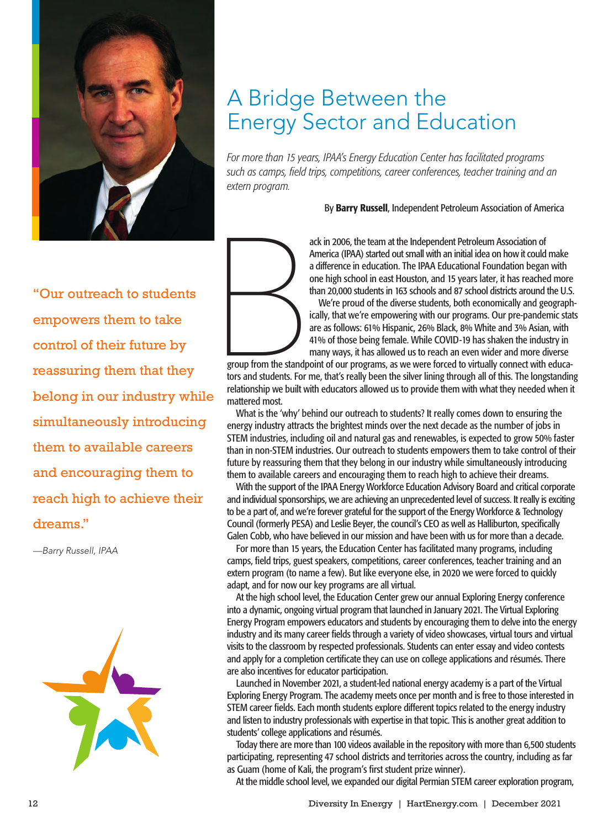

## A Bridge Between the Energy Sector and Education

*For more than 15 years, IPAA's Energy Education Center has facilitated programs such as camps, field trips, competitions, career conferences, teacher training and an extern program.*

By Barry Russell, Independent Petroleum Association of America

"Our outreach to students empowers them to take control of their future by reassuring them that they belong in our industry while simultaneously introducing them to available careers and encouraging them to reach high to achieve their dreams."

*—Barry Russell, IPAA*





ack in 2006, the team at the Independent Petroleum Association of America (IPAA) started out small with an initial idea on how it could make a difference in education. The IPAA Educational Foundation began with one high school in east Houston, and 15 years later, it has reached more than 20,000 students in 163 schools and 87 school districts around the U.S.

We're proud of the diverse students, both economically and geographically, that we're empowering with our programs. Our pre-pandemic stats are as follows: 61% Hispanic, 26% Black, 8% White and 3% Asian, with 41% of those being female. While COVID-19 has shaken the industry in many ways, it has allowed us to reach an even wider and more diverse

group from the standpoint of our programs, as we were forced to virtually connect with educators and students. For me, that's really been the silver lining through all of this. The longstanding relationship we built with educators allowed us to provide them with what they needed when it mattered most.

What is the 'why' behind our outreach to students? It really comes down to ensuring the energy industry attracts the brightest minds over the next decade as the number of jobs in STEM industries, including oil and natural gas and renewables, is expected to grow 50% faster than in non-STEM industries. Our outreach to students empowers them to take control of their future by reassuring them that they belong in our industry while simultaneously introducing them to available careers and encouraging them to reach high to achieve their dreams.

With the support of the IPAA Energy Workforce Education Advisory Board and critical corporate and individual sponsorships, we are achieving an unprecedented level of success. It really is exciting to be a part of, and we're forever grateful for the support of the Energy Workforce & Technology Council (formerly PESA) and Leslie Beyer, the council's CEO as well as Halliburton, specifically Galen Cobb, who have believed in our mission and have been with us for more than a decade.

For more than 15 years, the Education Center has facilitated many programs, including camps, field trips, guest speakers, competitions, career conferences, teacher training and an extern program (to name a few). But like everyone else, in 2020 we were forced to quickly adapt, and for now our key programs are all virtual.

At the high school level, the Education Center grew our annual Exploring Energy conference into a dynamic, ongoing virtual program that launched in January 2021. The Virtual Exploring Energy Program empowers educators and students by encouraging them to delve into the energy industry and its many career fields through a variety of video showcases, virtual tours and virtual visits to the classroom by respected professionals. Students can enter essay and video contests and apply for a completion certificate they can use on college applications and résumés. There are also incentives for educator participation.

Launched in November 2021, a student-led national energy academy is a part of the Virtual Exploring Energy Program. The academy meets once per month and is free to those interested in STEM career fields. Each month students explore different topics related to the energy industry and listen to industry professionals with expertise in that topic. This is another great addition to students' college applications and résumés.

Today there are more than 100 videos available in the repository with more than 6,500 students participating, representing 47 school districts and territories across the country, including as far as Guam (home of Kali, the program's first student prize winner).

At the middle school level, we expanded our digital Permian STEM career exploration program,